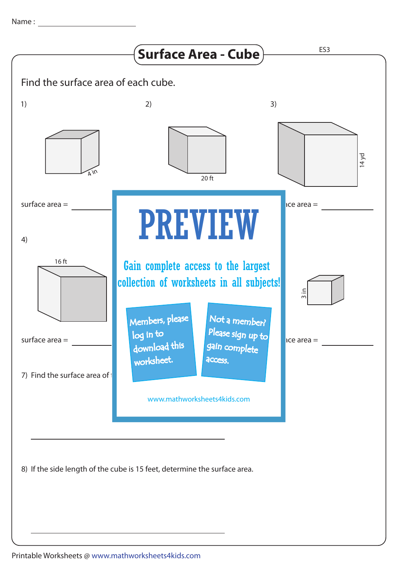